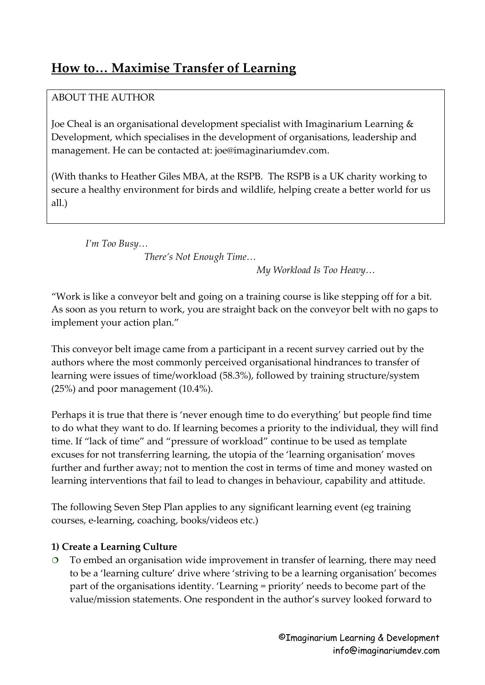# **How to… Maximise Transfer of Learning**

# ABOUT THE AUTHOR

Joe Cheal is an organisational development specialist with Imaginarium Learning & Development, which specialises in the development of organisations, leadership and management. He can be contacted at: joe@imaginariumdev.com.

(With thanks to Heather Giles MBA, at the RSPB. The RSPB is a UK charity working to secure a healthy environment for birds and wildlife, helping create a better world for us all.)

 *I'm Too Busy… There's Not Enough Time…*

*My Workload Is Too Heavy…* 

"Work is like a conveyor belt and going on a training course is like stepping off for a bit. As soon as you return to work, you are straight back on the conveyor belt with no gaps to implement your action plan."

This conveyor belt image came from a participant in a recent survey carried out by the authors where the most commonly perceived organisational hindrances to transfer of learning were issues of time/workload (58.3%), followed by training structure/system (25%) and poor management (10.4%).

Perhaps it is true that there is 'never enough time to do everything' but people find time to do what they want to do. If learning becomes a priority to the individual, they will find time. If "lack of time" and "pressure of workload" continue to be used as template excuses for not transferring learning, the utopia of the 'learning organisation' moves further and further away; not to mention the cost in terms of time and money wasted on learning interventions that fail to lead to changes in behaviour, capability and attitude.

The following Seven Step Plan applies to any significant learning event (eg training courses, e-learning, coaching, books/videos etc.)

## **1) Create a Learning Culture**

 To embed an organisation wide improvement in transfer of learning, there may need to be a 'learning culture' drive where 'striving to be a learning organisation' becomes part of the organisations identity. 'Learning = priority' needs to become part of the value/mission statements. One respondent in the author's survey looked forward to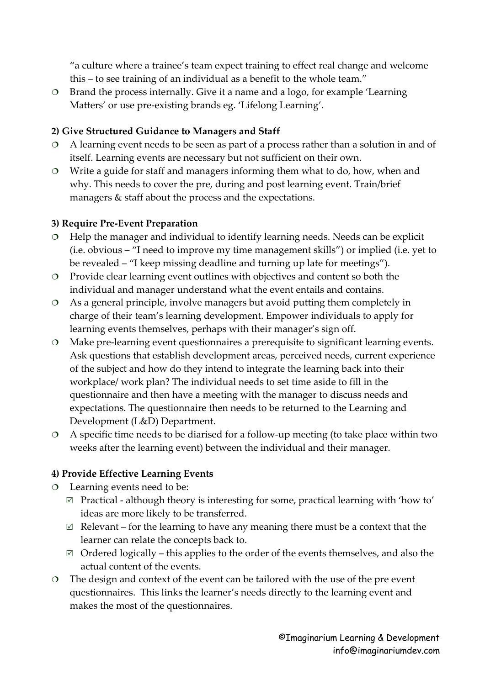"a culture where a trainee's team expect training to effect real change and welcome this – to see training of an individual as a benefit to the whole team."

 Brand the process internally. Give it a name and a logo, for example 'Learning Matters' or use pre-existing brands eg. 'Lifelong Learning'.

#### **2) Give Structured Guidance to Managers and Staff**

- A learning event needs to be seen as part of a process rather than a solution in and of itself. Learning events are necessary but not sufficient on their own.
- Write a guide for staff and managers informing them what to do, how, when and why. This needs to cover the pre, during and post learning event. Train/brief managers & staff about the process and the expectations.

#### **3) Require Pre-Event Preparation**

- $\circ$  Help the manager and individual to identify learning needs. Needs can be explicit (i.e. obvious – "I need to improve my time management skills") or implied (i.e. yet to be revealed – "I keep missing deadline and turning up late for meetings").
- Provide clear learning event outlines with objectives and content so both the individual and manager understand what the event entails and contains.
- As a general principle, involve managers but avoid putting them completely in charge of their team's learning development. Empower individuals to apply for learning events themselves, perhaps with their manager's sign off.
- Make pre-learning event questionnaires a prerequisite to significant learning events. Ask questions that establish development areas, perceived needs, current experience of the subject and how do they intend to integrate the learning back into their workplace/ work plan? The individual needs to set time aside to fill in the questionnaire and then have a meeting with the manager to discuss needs and expectations. The questionnaire then needs to be returned to the Learning and Development (L&D) Department.
- A specific time needs to be diarised for a follow-up meeting (to take place within two weeks after the learning event) between the individual and their manager.

## **4) Provide Effective Learning Events**

- Learning events need to be:
	- $\boxtimes$  Practical although theory is interesting for some, practical learning with 'how to' ideas are more likely to be transferred.
	- $\boxtimes$  Relevant for the learning to have any meaning there must be a context that the learner can relate the concepts back to.
	- $\boxtimes$  Ordered logically this applies to the order of the events themselves, and also the actual content of the events.
- The design and context of the event can be tailored with the use of the pre event questionnaires. This links the learner's needs directly to the learning event and makes the most of the questionnaires.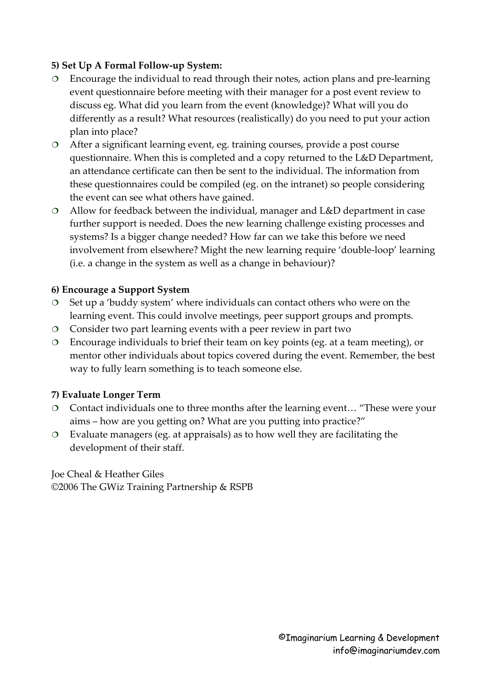#### **5) Set Up A Formal Follow-up System:**

- Encourage the individual to read through their notes, action plans and pre-learning event questionnaire before meeting with their manager for a post event review to discuss eg. What did you learn from the event (knowledge)? What will you do differently as a result? What resources (realistically) do you need to put your action plan into place?
- After a significant learning event, eg. training courses, provide a post course questionnaire. When this is completed and a copy returned to the L&D Department, an attendance certificate can then be sent to the individual. The information from these questionnaires could be compiled (eg. on the intranet) so people considering the event can see what others have gained.
- Allow for feedback between the individual, manager and L&D department in case further support is needed. Does the new learning challenge existing processes and systems? Is a bigger change needed? How far can we take this before we need involvement from elsewhere? Might the new learning require 'double-loop' learning (i.e. a change in the system as well as a change in behaviour)?

#### **6) Encourage a Support System**

- $\circ$  Set up a 'buddy system' where individuals can contact others who were on the learning event. This could involve meetings, peer support groups and prompts.
- Consider two part learning events with a peer review in part two
- Encourage individuals to brief their team on key points (eg. at a team meeting), or mentor other individuals about topics covered during the event. Remember, the best way to fully learn something is to teach someone else.

## **7) Evaluate Longer Term**

- Contact individuals one to three months after the learning event… "These were your aims – how are you getting on? What are you putting into practice?"
- Evaluate managers (eg. at appraisals) as to how well they are facilitating the development of their staff.

Joe Cheal & Heather Giles ©2006 The GWiz Training Partnership & RSPB